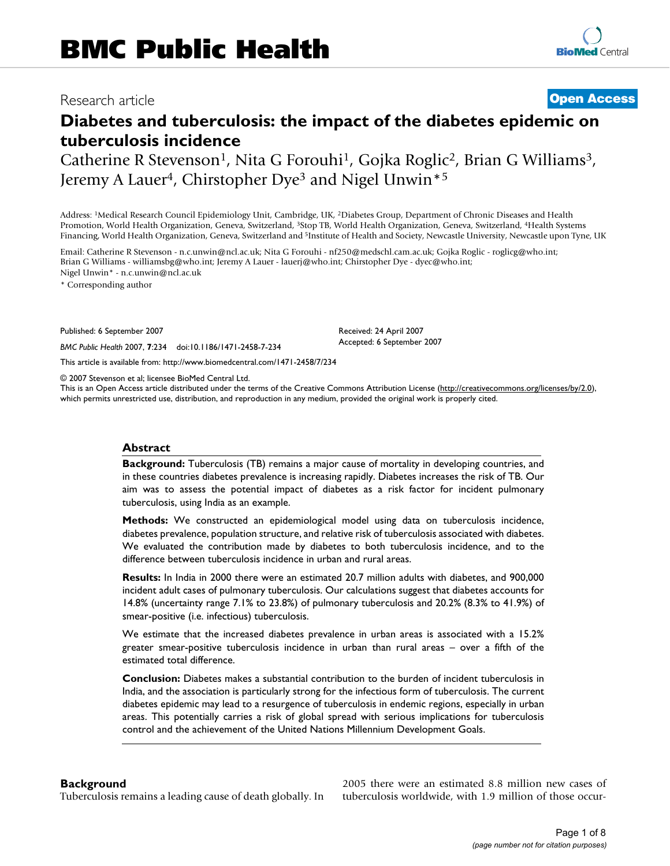## Research article **[Open Access](http://www.biomedcentral.com/info/about/charter/)**

# **Diabetes and tuberculosis: the impact of the diabetes epidemic on tuberculosis incidence**

Catherine R Stevenson<sup>1</sup>, Nita G Forouhi<sup>1</sup>, Gojka Roglic<sup>2</sup>, Brian G Williams<sup>3</sup>, Jeremy A Lauer<sup>4</sup>, Chirstopher Dye<sup>3</sup> and Nigel Unwin<sup>\*5</sup>

Address: 1Medical Research Council Epidemiology Unit, Cambridge, UK, 2Diabetes Group, Department of Chronic Diseases and Health Promotion, World Health Organization, Geneva, Switzerland, 3Stop TB, World Health Organization, Geneva, Switzerland, 4Health Systems Financing, World Health Organization, Geneva, Switzerland and <sup>5</sup>Institute of Health and Society, Newcastle University, Newcastle upon Tyne, UK

Email: Catherine R Stevenson - n.c.unwin@ncl.ac.uk; Nita G Forouhi - nf250@medschl.cam.ac.uk; Gojka Roglic - roglicg@who.int; Brian G Williams - williamsbg@who.int; Jeremy A Lauer - lauerj@who.int; Chirstopher Dye - dyec@who.int; Nigel Unwin\* - n.c.unwin@ncl.ac.uk

\* Corresponding author

Published: 6 September 2007

*BMC Public Health* 2007, **7**:234 doi:10.1186/1471-2458-7-234

[This article is available from: http://www.biomedcentral.com/1471-2458/7/234](http://www.biomedcentral.com/1471-2458/7/234)

© 2007 Stevenson et al; licensee BioMed Central Ltd.

This is an Open Access article distributed under the terms of the Creative Commons Attribution License [\(http://creativecommons.org/licenses/by/2.0\)](http://creativecommons.org/licenses/by/2.0), which permits unrestricted use, distribution, and reproduction in any medium, provided the original work is properly cited.

Received: 24 April 2007 Accepted: 6 September 2007

#### **Abstract**

**Background:** Tuberculosis (TB) remains a major cause of mortality in developing countries, and in these countries diabetes prevalence is increasing rapidly. Diabetes increases the risk of TB. Our aim was to assess the potential impact of diabetes as a risk factor for incident pulmonary tuberculosis, using India as an example.

**Methods:** We constructed an epidemiological model using data on tuberculosis incidence, diabetes prevalence, population structure, and relative risk of tuberculosis associated with diabetes. We evaluated the contribution made by diabetes to both tuberculosis incidence, and to the difference between tuberculosis incidence in urban and rural areas.

**Results:** In India in 2000 there were an estimated 20.7 million adults with diabetes, and 900,000 incident adult cases of pulmonary tuberculosis. Our calculations suggest that diabetes accounts for 14.8% (uncertainty range 7.1% to 23.8%) of pulmonary tuberculosis and 20.2% (8.3% to 41.9%) of smear-positive (i.e. infectious) tuberculosis.

We estimate that the increased diabetes prevalence in urban areas is associated with a 15.2% greater smear-positive tuberculosis incidence in urban than rural areas – over a fifth of the estimated total difference.

**Conclusion:** Diabetes makes a substantial contribution to the burden of incident tuberculosis in India, and the association is particularly strong for the infectious form of tuberculosis. The current diabetes epidemic may lead to a resurgence of tuberculosis in endemic regions, especially in urban areas. This potentially carries a risk of global spread with serious implications for tuberculosis control and the achievement of the United Nations Millennium Development Goals.

#### **Background**

Tuberculosis remains a leading cause of death globally. In

2005 there were an estimated 8.8 million new cases of tuberculosis worldwide, with 1.9 million of those occur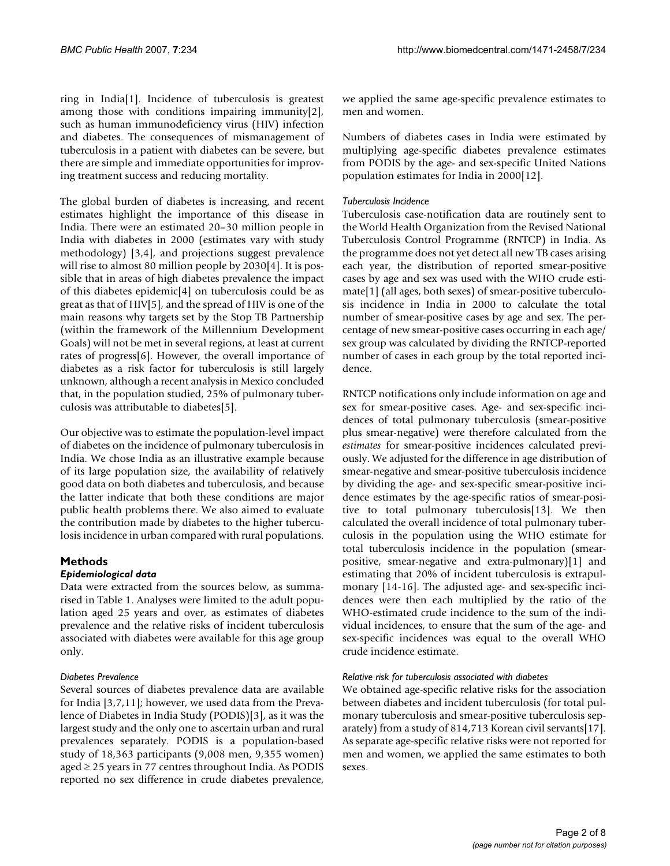ring in India[1]. Incidence of tuberculosis is greatest among those with conditions impairing immunity[2], such as human immunodeficiency virus (HIV) infection and diabetes. The consequences of mismanagement of tuberculosis in a patient with diabetes can be severe, but there are simple and immediate opportunities for improving treatment success and reducing mortality.

The global burden of diabetes is increasing, and recent estimates highlight the importance of this disease in India. There were an estimated 20–30 million people in India with diabetes in 2000 (estimates vary with study methodology) [3,4], and projections suggest prevalence will rise to almost 80 million people by 2030[4]. It is possible that in areas of high diabetes prevalence the impact of this diabetes epidemic[4] on tuberculosis could be as great as that of HIV[5], and the spread of HIV is one of the main reasons why targets set by the Stop TB Partnership (within the framework of the Millennium Development Goals) will not be met in several regions, at least at current rates of progress[6]. However, the overall importance of diabetes as a risk factor for tuberculosis is still largely unknown, although a recent analysis in Mexico concluded that, in the population studied, 25% of pulmonary tuberculosis was attributable to diabetes[5].

Our objective was to estimate the population-level impact of diabetes on the incidence of pulmonary tuberculosis in India. We chose India as an illustrative example because of its large population size, the availability of relatively good data on both diabetes and tuberculosis, and because the latter indicate that both these conditions are major public health problems there. We also aimed to evaluate the contribution made by diabetes to the higher tuberculosis incidence in urban compared with rural populations.

## **Methods**

#### *Epidemiological data*

Data were extracted from the sources below, as summarised in Table 1. Analyses were limited to the adult population aged 25 years and over, as estimates of diabetes prevalence and the relative risks of incident tuberculosis associated with diabetes were available for this age group only.

#### *Diabetes Prevalence*

Several sources of diabetes prevalence data are available for India [3,7,11]; however, we used data from the Prevalence of Diabetes in India Study (PODIS)[3], as it was the largest study and the only one to ascertain urban and rural prevalences separately. PODIS is a population-based study of 18,363 participants (9,008 men, 9,355 women) aged  $\geq$  25 years in 77 centres throughout India. As PODIS reported no sex difference in crude diabetes prevalence,

we applied the same age-specific prevalence estimates to men and women.

Numbers of diabetes cases in India were estimated by multiplying age-specific diabetes prevalence estimates from PODIS by the age- and sex-specific United Nations population estimates for India in 2000[12].

## *Tuberculosis Incidence*

Tuberculosis case-notification data are routinely sent to the World Health Organization from the Revised National Tuberculosis Control Programme (RNTCP) in India. As the programme does not yet detect all new TB cases arising each year, the distribution of reported smear-positive cases by age and sex was used with the WHO crude estimate[1] (all ages, both sexes) of smear-positive tuberculosis incidence in India in 2000 to calculate the total number of smear-positive cases by age and sex. The percentage of new smear-positive cases occurring in each age/ sex group was calculated by dividing the RNTCP-reported number of cases in each group by the total reported incidence.

RNTCP notifications only include information on age and sex for smear-positive cases. Age- and sex-specific incidences of total pulmonary tuberculosis (smear-positive plus smear-negative) were therefore calculated from the *estimates* for smear-positive incidences calculated previously. We adjusted for the difference in age distribution of smear-negative and smear-positive tuberculosis incidence by dividing the age- and sex-specific smear-positive incidence estimates by the age-specific ratios of smear-positive to total pulmonary tuberculosis[13]. We then calculated the overall incidence of total pulmonary tuberculosis in the population using the WHO estimate for total tuberculosis incidence in the population (smearpositive, smear-negative and extra-pulmonary)[1] and estimating that 20% of incident tuberculosis is extrapulmonary [14-16]. The adjusted age- and sex-specific incidences were then each multiplied by the ratio of the WHO-estimated crude incidence to the sum of the individual incidences, to ensure that the sum of the age- and sex-specific incidences was equal to the overall WHO crude incidence estimate.

#### *Relative risk for tuberculosis associated with diabetes*

We obtained age-specific relative risks for the association between diabetes and incident tuberculosis (for total pulmonary tuberculosis and smear-positive tuberculosis separately) from a study of 814,713 Korean civil servants[17]. As separate age-specific relative risks were not reported for men and women, we applied the same estimates to both sexes.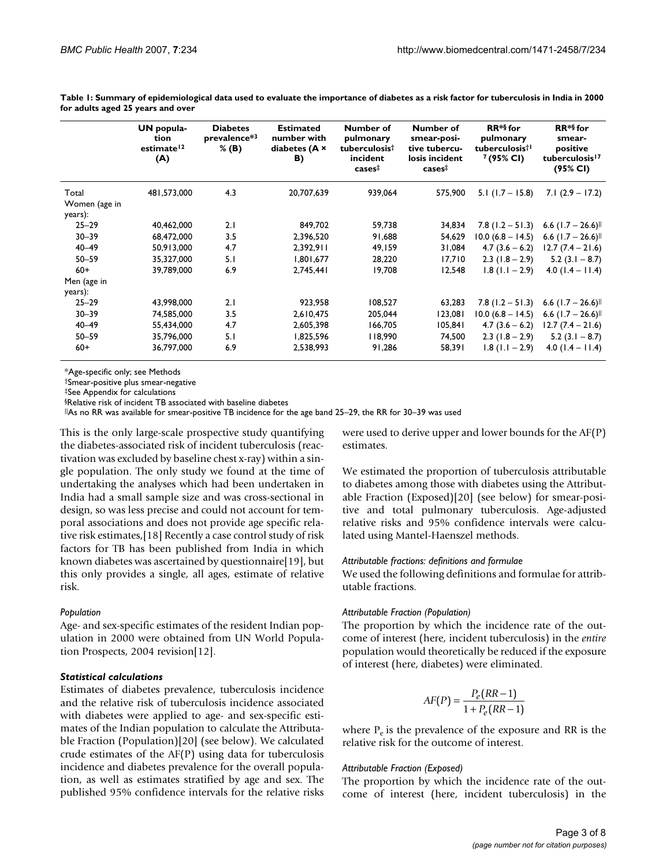|                          | UN popula-<br>tion<br>estimate <sup>12</sup><br>(A) | <b>Diabetes</b><br>prevalence*3<br>$%$ (B) | <b>Estimated</b><br>number with<br>diabetes (A x<br>B) | Number of<br>pulmonary<br>tuberculosist<br>incident<br>$cases^{\ddagger}$ | Number of<br>smear-posi-<br>tive tubercu-<br>losis incident<br>$cases^{\ddagger}$ | $RR**$ for<br>pulmonary<br>tuberculosis <sup>†1</sup><br>$7(95\% \text{ Cl})$ | $RR**$ for<br>smear-<br>positive<br>tuberculosis <sup>17</sup><br>(95% CI) |
|--------------------------|-----------------------------------------------------|--------------------------------------------|--------------------------------------------------------|---------------------------------------------------------------------------|-----------------------------------------------------------------------------------|-------------------------------------------------------------------------------|----------------------------------------------------------------------------|
| Total                    | 481,573,000                                         | 4.3                                        | 20,707,639                                             | 939,064                                                                   | 575,900                                                                           | $5.1$ (1.7 – 15.8)                                                            | $7.1(2.9 - 17.2)$                                                          |
| Women (age in<br>years): |                                                     |                                            |                                                        |                                                                           |                                                                                   |                                                                               |                                                                            |
| $25 - 29$                | 40,462,000                                          | 2.1                                        | 849,702                                                | 59,738                                                                    | 34,834                                                                            | $7.8$ (1.2 – 51.3)                                                            | 6.6 $(1.7 - 26.6)$                                                         |
| $30 - 39$                | 68,472,000                                          | 3.5                                        | 2,396,520                                              | 91,688                                                                    | 54.629                                                                            | $10.0 (6.8 - 14.5)$                                                           | 6.6 $(1.7 - 26.6)$                                                         |
| $40 - 49$                | 50,913,000                                          | 4.7                                        | 2,392,911                                              | 49,159                                                                    | 31,084                                                                            | $4.7(3.6 - 6.2)$                                                              | $12.7(7.4 - 21.6)$                                                         |
| $50 - 59$                | 35,327,000                                          | 5.1                                        | 1,801,677                                              | 28,220                                                                    | 17,710                                                                            | $2.3$ (1.8 – 2.9)                                                             | $5.2$ (3.1 – 8.7)                                                          |
| $60+$                    | 39,789,000                                          | 6.9                                        | 2,745,441                                              | 19,708                                                                    | 12,548                                                                            | $1.8$ (1.1 – 2.9)                                                             | $4.0$ (1.4 – 11.4)                                                         |
| Men (age in<br>years):   |                                                     |                                            |                                                        |                                                                           |                                                                                   |                                                                               |                                                                            |
| $25 - 29$                | 43.998.000                                          | 2.1                                        | 923,958                                                | 108.527                                                                   | 63,283                                                                            | $7.8$ (1.2 – 51.3)                                                            | 6.6 $(1.7 - 26.6)$                                                         |
| $30 - 39$                | 74,585,000                                          | 3.5                                        | 2,610,475                                              | 205,044                                                                   | 123,081                                                                           | $10.0 (6.8 - 14.5)$                                                           | 6.6 $(1.7 - 26.6)$                                                         |
| $40 - 49$                | 55,434,000                                          | 4.7                                        | 2,605,398                                              | 166,705                                                                   | 105.841                                                                           | $4.7(3.6-6.2)$                                                                | $12.7(7.4 - 21.6)$                                                         |
| $50 - 59$                | 35,796,000                                          | 5.1                                        | 1,825,596                                              | 118,990                                                                   | 74,500                                                                            | $2.3$ (1.8 – 2.9)                                                             | $5.2(3.1 - 8.7)$                                                           |
| $60+$                    | 36,797,000                                          | 6.9                                        | 2,538,993                                              | 91,286                                                                    | 58,391                                                                            | $1.8(1.1 - 2.9)$                                                              | $4.0$ (1.4 – 11.4)                                                         |

**Table 1: Summary of epidemiological data used to evaluate the importance of diabetes as a risk factor for tuberculosis in India in 2000 for adults aged 25 years and over**

\*Age-specific only; see Methods

†Smear-positive plus smear-negative

‡See Appendix for calculations

§Relative risk of incident TB associated with baseline diabetes

||As no RR was available for smear-positive TB incidence for the age band 25–29, the RR for 30–39 was used

This is the only large-scale prospective study quantifying the diabetes-associated risk of incident tuberculosis (reactivation was excluded by baseline chest x-ray) within a single population. The only study we found at the time of undertaking the analyses which had been undertaken in India had a small sample size and was cross-sectional in design, so was less precise and could not account for temporal associations and does not provide age specific relative risk estimates,[18] Recently a case control study of risk factors for TB has been published from India in which known diabetes was ascertained by questionnaire[19], but this only provides a single, all ages, estimate of relative risk.

#### *Population*

Age- and sex-specific estimates of the resident Indian population in 2000 were obtained from UN World Population Prospects, 2004 revision[12].

#### *Statistical calculations*

Estimates of diabetes prevalence, tuberculosis incidence and the relative risk of tuberculosis incidence associated with diabetes were applied to age- and sex-specific estimates of the Indian population to calculate the Attributable Fraction (Population)[20] (see below). We calculated crude estimates of the AF(P) using data for tuberculosis incidence and diabetes prevalence for the overall population, as well as estimates stratified by age and sex. The published 95% confidence intervals for the relative risks

were used to derive upper and lower bounds for the AF(P) estimates.

We estimated the proportion of tuberculosis attributable to diabetes among those with diabetes using the Attributable Fraction (Exposed)[20] (see below) for smear-positive and total pulmonary tuberculosis. Age-adjusted relative risks and 95% confidence intervals were calculated using Mantel-Haenszel methods.

#### *Attributable fractions: definitions and formulae*

We used the following definitions and formulae for attributable fractions.

#### *Attributable Fraction (Population)*

The proportion by which the incidence rate of the outcome of interest (here, incident tuberculosis) in the *entire* population would theoretically be reduced if the exposure of interest (here, diabetes) were eliminated.

$$
AF(P) = \frac{P_e(RR - 1)}{1 + P_e(RR - 1)}
$$

where  $P_e$  is the prevalence of the exposure and RR is the relative risk for the outcome of interest.

#### *Attributable Fraction (Exposed)*

The proportion by which the incidence rate of the outcome of interest (here, incident tuberculosis) in the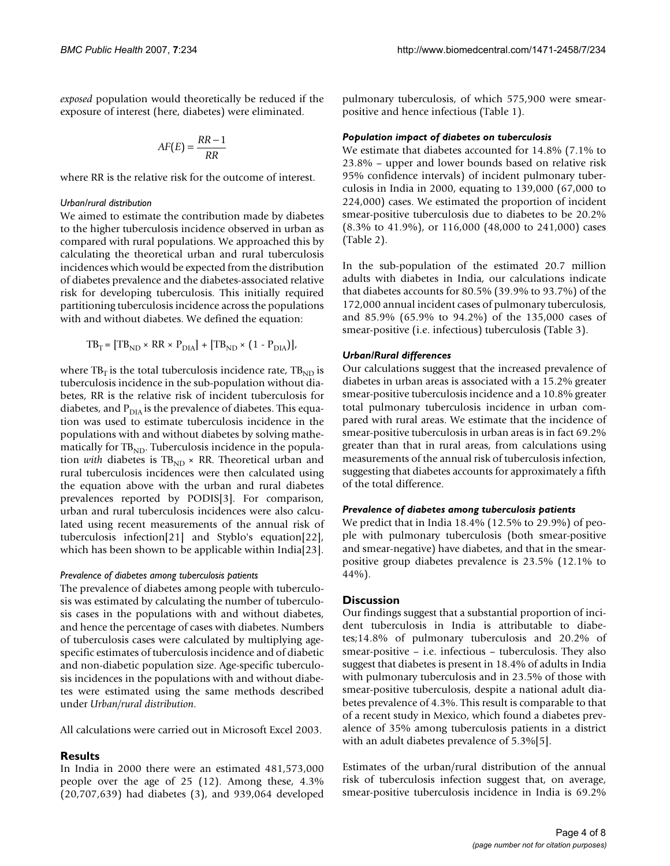*exposed* population would theoretically be reduced if the exposure of interest (here, diabetes) were eliminated.

$$
AF(E) = \frac{RR - 1}{RR}
$$

where RR is the relative risk for the outcome of interest.

#### *Urban/rural distribution*

We aimed to estimate the contribution made by diabetes to the higher tuberculosis incidence observed in urban as compared with rural populations. We approached this by calculating the theoretical urban and rural tuberculosis incidences which would be expected from the distribution of diabetes prevalence and the diabetes-associated relative risk for developing tuberculosis. This initially required partitioning tuberculosis incidence across the populations with and without diabetes. We defined the equation:

$$
TB_T = [TB_{ND} \times RR \times P_{DIA}] + [TB_{ND} \times (1 - P_{DIA})],
$$

where  $TB<sub>T</sub>$  is the total tuberculosis incidence rate,  $TB<sub>ND</sub>$  is tuberculosis incidence in the sub-population without diabetes, RR is the relative risk of incident tuberculosis for diabetes, and  $P_{\text{DIA}}$  is the prevalence of diabetes. This equation was used to estimate tuberculosis incidence in the populations with and without diabetes by solving mathematically for  $TB<sub>ND</sub>$ . Tuberculosis incidence in the population *with* diabetes is  $TB<sub>ND</sub> \times RR$ . Theoretical urban and rural tuberculosis incidences were then calculated using the equation above with the urban and rural diabetes prevalences reported by PODIS[3]. For comparison, urban and rural tuberculosis incidences were also calculated using recent measurements of the annual risk of tuberculosis infection[21] and Styblo's equation[22], which has been shown to be applicable within India[23].

#### *Prevalence of diabetes among tuberculosis patients*

The prevalence of diabetes among people with tuberculosis was estimated by calculating the number of tuberculosis cases in the populations with and without diabetes, and hence the percentage of cases with diabetes. Numbers of tuberculosis cases were calculated by multiplying agespecific estimates of tuberculosis incidence and of diabetic and non-diabetic population size. Age-specific tuberculosis incidences in the populations with and without diabetes were estimated using the same methods described under *Urban/rural distribution*.

All calculations were carried out in Microsoft Excel 2003.

## **Results**

In India in 2000 there were an estimated 481,573,000 people over the age of 25 (12). Among these, 4.3% (20,707,639) had diabetes (3), and 939,064 developed pulmonary tuberculosis, of which 575,900 were smearpositive and hence infectious (Table 1).

## *Population impact of diabetes on tuberculosis*

We estimate that diabetes accounted for 14.8% (7.1% to 23.8% – upper and lower bounds based on relative risk 95% confidence intervals) of incident pulmonary tuberculosis in India in 2000, equating to 139,000 (67,000 to 224,000) cases. We estimated the proportion of incident smear-positive tuberculosis due to diabetes to be 20.2% (8.3% to 41.9%), or 116,000 (48,000 to 241,000) cases (Table 2).

In the sub-population of the estimated 20.7 million adults with diabetes in India, our calculations indicate that diabetes accounts for 80.5% (39.9% to 93.7%) of the 172,000 annual incident cases of pulmonary tuberculosis, and 85.9% (65.9% to 94.2%) of the 135,000 cases of smear-positive (i.e. infectious) tuberculosis (Table 3).

## *Urban/Rural differences*

Our calculations suggest that the increased prevalence of diabetes in urban areas is associated with a 15.2% greater smear-positive tuberculosis incidence and a 10.8% greater total pulmonary tuberculosis incidence in urban compared with rural areas. We estimate that the incidence of smear-positive tuberculosis in urban areas is in fact 69.2% greater than that in rural areas, from calculations using measurements of the annual risk of tuberculosis infection, suggesting that diabetes accounts for approximately a fifth of the total difference.

## *Prevalence of diabetes among tuberculosis patients*

We predict that in India 18.4% (12.5% to 29.9%) of people with pulmonary tuberculosis (both smear-positive and smear-negative) have diabetes, and that in the smearpositive group diabetes prevalence is 23.5% (12.1% to 44%).

## **Discussion**

Our findings suggest that a substantial proportion of incident tuberculosis in India is attributable to diabetes;14.8% of pulmonary tuberculosis and 20.2% of smear-positive – i.e. infectious – tuberculosis. They also suggest that diabetes is present in 18.4% of adults in India with pulmonary tuberculosis and in 23.5% of those with smear-positive tuberculosis, despite a national adult diabetes prevalence of 4.3%. This result is comparable to that of a recent study in Mexico, which found a diabetes prevalence of 35% among tuberculosis patients in a district with an adult diabetes prevalence of 5.3%[5].

Estimates of the urban/rural distribution of the annual risk of tuberculosis infection suggest that, on average, smear-positive tuberculosis incidence in India is 69.2%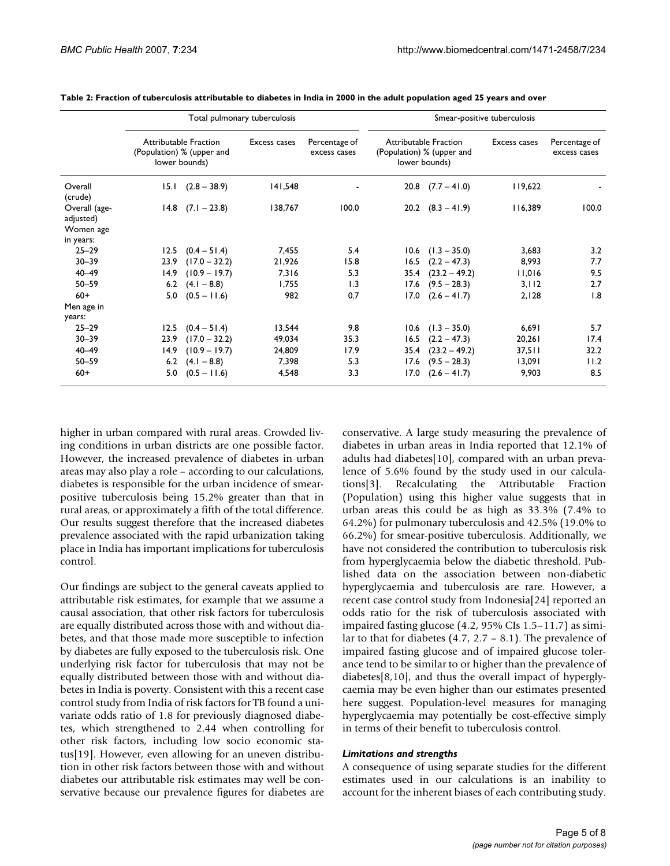|                            | Total pulmonary tuberculosis                                               |                       |              |                               | Smear-positive tuberculosis                                                |                       |              |                               |
|----------------------------|----------------------------------------------------------------------------|-----------------------|--------------|-------------------------------|----------------------------------------------------------------------------|-----------------------|--------------|-------------------------------|
|                            | <b>Attributable Fraction</b><br>(Population) % (upper and<br>lower bounds) |                       | Excess cases | Percentage of<br>excess cases | <b>Attributable Fraction</b><br>(Population) % (upper and<br>lower bounds) |                       | Excess cases | Percentage of<br>excess cases |
| Overall<br>(crude)         | 15.1                                                                       | $(2.8 - 38.9)$        | 141,548      |                               |                                                                            | $20.8$ $(7.7 - 41.0)$ | 119,622      |                               |
| Overall (age-<br>adjusted) |                                                                            | $14.8$ $(7.1 - 23.8)$ | 138,767      | 100.0                         |                                                                            | $20.2$ $(8.3 - 41.9)$ | 116,389      | 100.0                         |
| Women age                  |                                                                            |                       |              |                               |                                                                            |                       |              |                               |
| in years:                  |                                                                            |                       |              |                               |                                                                            |                       |              |                               |
| $25 - 29$                  | 12.5                                                                       | $(0.4 - 51.4)$        | 7,455        | 5.4                           |                                                                            | $10.6$ $(1.3 - 35.0)$ | 3,683        | 3.2                           |
| $30 - 39$                  | 23.9                                                                       | $(17.0 - 32.2)$       | 21,926       | 15.8                          | 16.5                                                                       | $(2.2 - 47.3)$        | 8,993        | 7.7                           |
| $40 - 49$                  | 14.9                                                                       | $(10.9 - 19.7)$       | 7,316        | 5.3                           | 35.4                                                                       | $(23.2 - 49.2)$       | 11,016       | 9.5                           |
| $50 - 59$                  | 6.2                                                                        | $(4.1 - 8.8)$         | 1,755        | 1.3                           | 17.6                                                                       | $(9.5 - 28.3)$        | 3,112        | 2.7                           |
| $60+$                      | 5.0                                                                        | $(0.5 - 11.6)$        | 982          | 0.7                           | 17.0                                                                       | $(2.6 - 41.7)$        | 2.128        | 1.8                           |
| Men age in                 |                                                                            |                       |              |                               |                                                                            |                       |              |                               |
| years:                     |                                                                            |                       |              |                               |                                                                            |                       |              |                               |
| $25 - 29$                  | 12.5                                                                       | $(0.4 - 51.4)$        | 13,544       | 9.8                           | 10.6                                                                       | $(1.3 - 35.0)$        | 6,691        | 5.7                           |
| $30 - 39$                  | 23.9                                                                       | $(17.0 - 32.2)$       | 49,034       | 35.3                          | 16.5                                                                       | $(2.2 - 47.3)$        | 20,261       | 17.4                          |
| $40 - 49$                  | 14.9                                                                       | $(10.9 - 19.7)$       | 24,809       | 17.9                          | 35.4                                                                       | $(23.2 - 49.2)$       | 37,511       | 32.2                          |
| $50 - 59$                  | 6.2                                                                        | $(4.1 - 8.8)$         | 7,398        | 5.3                           | 17.6                                                                       | $(9.5 - 28.3)$        | 13,091       | 11.2                          |
| $60+$                      | 5.0                                                                        | $(0.5 - 11.6)$        | 4,548        | 3.3                           | 17.0                                                                       | $(2.6 - 41.7)$        | 9,903        | 8.5                           |

**Table 2: Fraction of tuberculosis attributable to diabetes in India in 2000 in the adult population aged 25 years and over**

higher in urban compared with rural areas. Crowded living conditions in urban districts are one possible factor. However, the increased prevalence of diabetes in urban areas may also play a role – according to our calculations, diabetes is responsible for the urban incidence of smearpositive tuberculosis being 15.2% greater than that in rural areas, or approximately a fifth of the total difference. Our results suggest therefore that the increased diabetes prevalence associated with the rapid urbanization taking place in India has important implications for tuberculosis control.

Our findings are subject to the general caveats applied to attributable risk estimates, for example that we assume a causal association, that other risk factors for tuberculosis are equally distributed across those with and without diabetes, and that those made more susceptible to infection by diabetes are fully exposed to the tuberculosis risk. One underlying risk factor for tuberculosis that may not be equally distributed between those with and without diabetes in India is poverty. Consistent with this a recent case control study from India of risk factors for TB found a univariate odds ratio of 1.8 for previously diagnosed diabetes, which strengthened to 2.44 when controlling for other risk factors, including low socio economic status[19]. However, even allowing for an uneven distribution in other risk factors between those with and without diabetes our attributable risk estimates may well be conservative because our prevalence figures for diabetes are conservative. A large study measuring the prevalence of diabetes in urban areas in India reported that 12.1% of adults had diabetes[10], compared with an urban prevalence of 5.6% found by the study used in our calculations[3]. Recalculating the Attributable Fraction (Population) using this higher value suggests that in urban areas this could be as high as 33.3% (7.4% to 64.2%) for pulmonary tuberculosis and 42.5% (19.0% to 66.2%) for smear-positive tuberculosis. Additionally, we have not considered the contribution to tuberculosis risk from hyperglycaemia below the diabetic threshold. Published data on the association between non-diabetic hyperglycaemia and tuberculosis are rare. However, a recent case control study from Indonesia[24] reported an odds ratio for the risk of tuberculosis associated with impaired fasting glucose (4.2, 95% CIs 1.5–11.7) as similar to that for diabetes (4.7, 2.7 – 8.1). The prevalence of impaired fasting glucose and of impaired glucose tolerance tend to be similar to or higher than the prevalence of diabetes[8,10], and thus the overall impact of hyperglycaemia may be even higher than our estimates presented here suggest. Population-level measures for managing hyperglycaemia may potentially be cost-effective simply in terms of their benefit to tuberculosis control.

#### *Limitations and strengths*

A consequence of using separate studies for the different estimates used in our calculations is an inability to account for the inherent biases of each contributing study.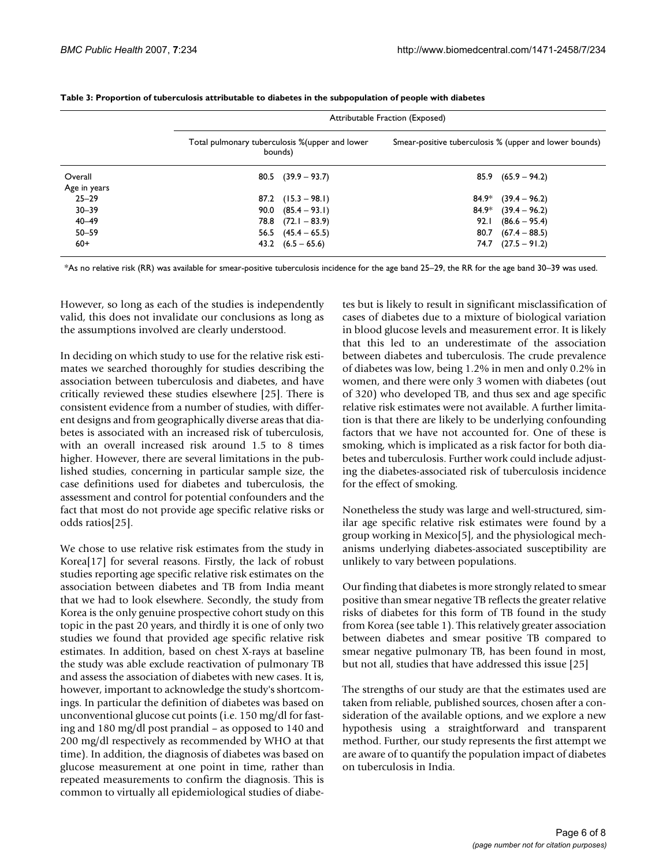|              | Attributable Fraction (Exposed) |                                                            |                                                        |                        |  |  |
|--------------|---------------------------------|------------------------------------------------------------|--------------------------------------------------------|------------------------|--|--|
|              |                                 | Total pulmonary tuberculosis % (upper and lower<br>bounds) | Smear-positive tuberculosis % (upper and lower bounds) |                        |  |  |
| Overall      |                                 | $80.5$ $(39.9 - 93.7)$                                     | 85.9                                                   | $(65.9 - 94.2)$        |  |  |
| Age in years |                                 |                                                            |                                                        |                        |  |  |
| $25 - 29$    |                                 | $87.2$ $(15.3 - 98.1)$                                     | 84.9*                                                  | $(39.4 - 96.2)$        |  |  |
| $30 - 39$    | 90.0                            | $(85.4 - 93.1)$                                            | 84.9*                                                  | $(39.4 - 96.2)$        |  |  |
| $40 - 49$    |                                 | $78.8$ $(72.1 - 83.9)$                                     | 92.I                                                   | $(86.6 - 95.4)$        |  |  |
| $50 - 59$    |                                 | $56.5$ $(45.4 - 65.5)$                                     | 80.7                                                   | $(67.4 - 88.5)$        |  |  |
| $60+$        |                                 | $43.2$ $(6.5 - 65.6)$                                      |                                                        | $74.7$ $(27.5 - 91.2)$ |  |  |

**Table 3: Proportion of tuberculosis attributable to diabetes in the subpopulation of people with diabetes**

\*As no relative risk (RR) was available for smear-positive tuberculosis incidence for the age band 25–29, the RR for the age band 30–39 was used.

However, so long as each of the studies is independently valid, this does not invalidate our conclusions as long as the assumptions involved are clearly understood.

In deciding on which study to use for the relative risk estimates we searched thoroughly for studies describing the association between tuberculosis and diabetes, and have critically reviewed these studies elsewhere [25]. There is consistent evidence from a number of studies, with different designs and from geographically diverse areas that diabetes is associated with an increased risk of tuberculosis, with an overall increased risk around 1.5 to 8 times higher. However, there are several limitations in the published studies, concerning in particular sample size, the case definitions used for diabetes and tuberculosis, the assessment and control for potential confounders and the fact that most do not provide age specific relative risks or odds ratios[25].

We chose to use relative risk estimates from the study in Korea[17] for several reasons. Firstly, the lack of robust studies reporting age specific relative risk estimates on the association between diabetes and TB from India meant that we had to look elsewhere. Secondly, the study from Korea is the only genuine prospective cohort study on this topic in the past 20 years, and thirdly it is one of only two studies we found that provided age specific relative risk estimates. In addition, based on chest X-rays at baseline the study was able exclude reactivation of pulmonary TB and assess the association of diabetes with new cases. It is, however, important to acknowledge the study's shortcomings. In particular the definition of diabetes was based on unconventional glucose cut points (i.e. 150 mg/dl for fasting and 180 mg/dl post prandial – as opposed to 140 and 200 mg/dl respectively as recommended by WHO at that time). In addition, the diagnosis of diabetes was based on glucose measurement at one point in time, rather than repeated measurements to confirm the diagnosis. This is common to virtually all epidemiological studies of diabetes but is likely to result in significant misclassification of cases of diabetes due to a mixture of biological variation in blood glucose levels and measurement error. It is likely that this led to an underestimate of the association between diabetes and tuberculosis. The crude prevalence of diabetes was low, being 1.2% in men and only 0.2% in women, and there were only 3 women with diabetes (out of 320) who developed TB, and thus sex and age specific relative risk estimates were not available. A further limitation is that there are likely to be underlying confounding factors that we have not accounted for. One of these is smoking, which is implicated as a risk factor for both diabetes and tuberculosis. Further work could include adjusting the diabetes-associated risk of tuberculosis incidence for the effect of smoking.

Nonetheless the study was large and well-structured, similar age specific relative risk estimates were found by a group working in Mexico[5], and the physiological mechanisms underlying diabetes-associated susceptibility are unlikely to vary between populations.

Our finding that diabetes is more strongly related to smear positive than smear negative TB reflects the greater relative risks of diabetes for this form of TB found in the study from Korea (see table 1). This relatively greater association between diabetes and smear positive TB compared to smear negative pulmonary TB, has been found in most, but not all, studies that have addressed this issue [25]

The strengths of our study are that the estimates used are taken from reliable, published sources, chosen after a consideration of the available options, and we explore a new hypothesis using a straightforward and transparent method. Further, our study represents the first attempt we are aware of to quantify the population impact of diabetes on tuberculosis in India.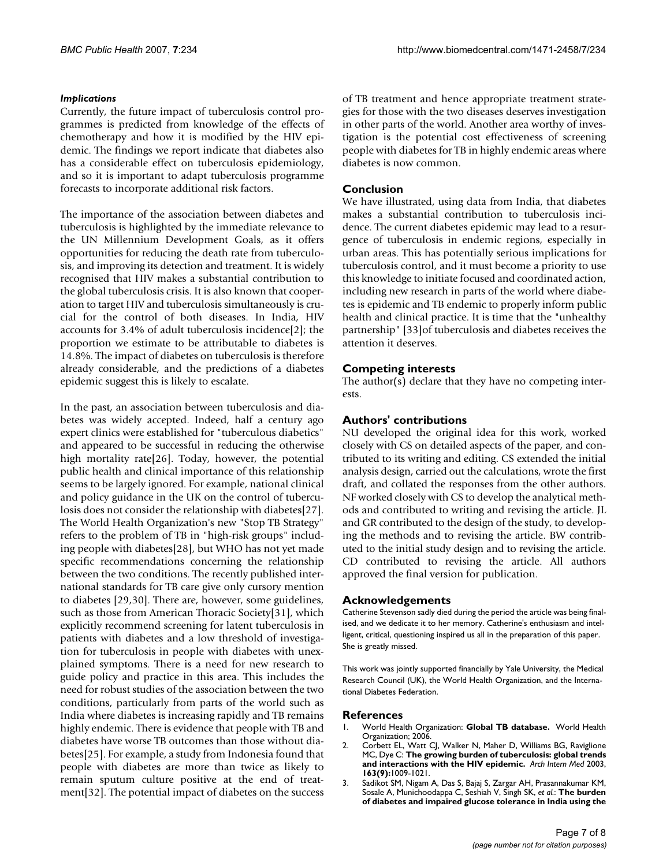## *Implications*

Currently, the future impact of tuberculosis control programmes is predicted from knowledge of the effects of chemotherapy and how it is modified by the HIV epidemic. The findings we report indicate that diabetes also has a considerable effect on tuberculosis epidemiology, and so it is important to adapt tuberculosis programme forecasts to incorporate additional risk factors.

The importance of the association between diabetes and tuberculosis is highlighted by the immediate relevance to the UN Millennium Development Goals, as it offers opportunities for reducing the death rate from tuberculosis, and improving its detection and treatment. It is widely recognised that HIV makes a substantial contribution to the global tuberculosis crisis. It is also known that cooperation to target HIV and tuberculosis simultaneously is crucial for the control of both diseases. In India, HIV accounts for 3.4% of adult tuberculosis incidence[2]; the proportion we estimate to be attributable to diabetes is 14.8%. The impact of diabetes on tuberculosis is therefore already considerable, and the predictions of a diabetes epidemic suggest this is likely to escalate.

In the past, an association between tuberculosis and diabetes was widely accepted. Indeed, half a century ago expert clinics were established for "tuberculous diabetics" and appeared to be successful in reducing the otherwise high mortality rate[26]. Today, however, the potential public health and clinical importance of this relationship seems to be largely ignored. For example, national clinical and policy guidance in the UK on the control of tuberculosis does not consider the relationship with diabetes[27]. The World Health Organization's new "Stop TB Strategy" refers to the problem of TB in "high-risk groups" including people with diabetes[28], but WHO has not yet made specific recommendations concerning the relationship between the two conditions. The recently published international standards for TB care give only cursory mention to diabetes [29,30]. There are, however, some guidelines, such as those from American Thoracic Society[31], which explicitly recommend screening for latent tuberculosis in patients with diabetes and a low threshold of investigation for tuberculosis in people with diabetes with unexplained symptoms. There is a need for new research to guide policy and practice in this area. This includes the need for robust studies of the association between the two conditions, particularly from parts of the world such as India where diabetes is increasing rapidly and TB remains highly endemic. There is evidence that people with TB and diabetes have worse TB outcomes than those without diabetes[25]. For example, a study from Indonesia found that people with diabetes are more than twice as likely to remain sputum culture positive at the end of treatment[32]. The potential impact of diabetes on the success of TB treatment and hence appropriate treatment strategies for those with the two diseases deserves investigation in other parts of the world. Another area worthy of investigation is the potential cost effectiveness of screening people with diabetes for TB in highly endemic areas where diabetes is now common.

## **Conclusion**

We have illustrated, using data from India, that diabetes makes a substantial contribution to tuberculosis incidence. The current diabetes epidemic may lead to a resurgence of tuberculosis in endemic regions, especially in urban areas. This has potentially serious implications for tuberculosis control, and it must become a priority to use this knowledge to initiate focused and coordinated action, including new research in parts of the world where diabetes is epidemic and TB endemic to properly inform public health and clinical practice. It is time that the "unhealthy partnership" [33]of tuberculosis and diabetes receives the attention it deserves.

## **Competing interests**

The author(s) declare that they have no competing interests.

## **Authors' contributions**

NU developed the original idea for this work, worked closely with CS on detailed aspects of the paper, and contributed to its writing and editing. CS extended the initial analysis design, carried out the calculations, wrote the first draft, and collated the responses from the other authors. NF worked closely with CS to develop the analytical methods and contributed to writing and revising the article. JL and GR contributed to the design of the study, to developing the methods and to revising the article. BW contributed to the initial study design and to revising the article. CD contributed to revising the article. All authors approved the final version for publication.

## **Acknowledgements**

Catherine Stevenson sadly died during the period the article was being finalised, and we dedicate it to her memory. Catherine's enthusiasm and intelligent, critical, questioning inspired us all in the preparation of this paper. She is greatly missed.

This work was jointly supported financially by Yale University, the Medical Research Council (UK), the World Health Organization, and the International Diabetes Federation.

## **References**

- 1. World Health Organization: **Global TB database.** World Health Organization; 2006.
- 2. Corbett EL, Watt CJ, Walker N, Maher D, Williams BG, Raviglione MC, Dye C: **[The growing burden of tuberculosis: global trends](http://www.ncbi.nlm.nih.gov/entrez/query.fcgi?cmd=Retrieve&db=PubMed&dopt=Abstract&list_uids=12742798) [and interactions with the HIV epidemic.](http://www.ncbi.nlm.nih.gov/entrez/query.fcgi?cmd=Retrieve&db=PubMed&dopt=Abstract&list_uids=12742798)** *Arch Intern Med* 2003, **163(9):**1009-1021.
- 3. Sadikot SM, Nigam A, Das S, Bajaj S, Zargar AH, Prasannakumar KM, Sosale A, Munichoodappa C, Seshiah V, Singh SK, *et al.*: **The burden of diabetes and impaired glucose tolerance in India using the**